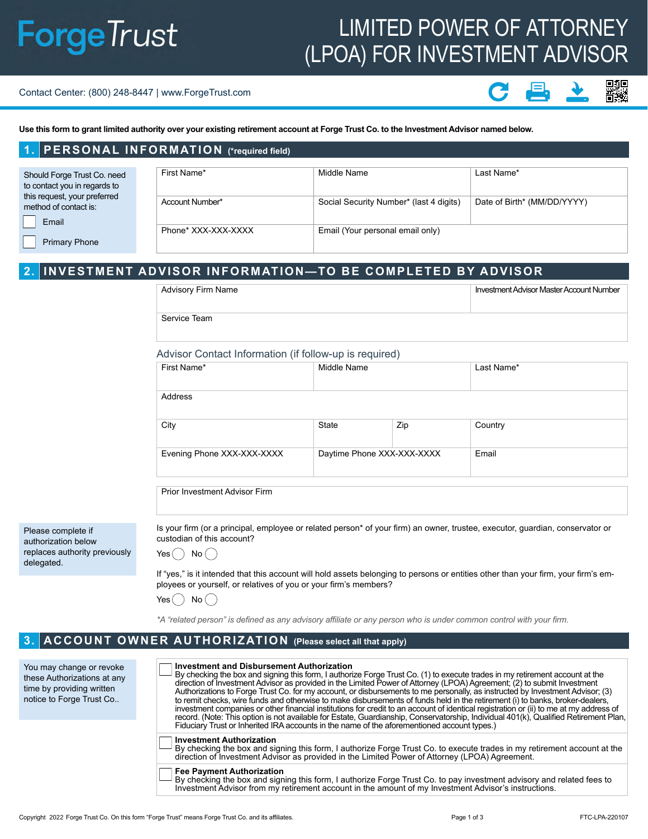# **ForgeTrust**

## LIMITED POWER OF ATTORNEY (LPOA) FOR INVESTMENT ADVISOR

#### Contact Center: (800) 248-8447 | www.ForgeTrust.com

**1. PERSONAL INFORMATION (\*required field)**

**Use this form to grant limited authority over your existing retirement account at Forge Trust Co. to the Investment Advisor named below.**

| <b>I. FLRSONAL INI ORMATION</b> ("required item")           |                     |                                         |                             |  |  |  |  |  |
|-------------------------------------------------------------|---------------------|-----------------------------------------|-----------------------------|--|--|--|--|--|
|                                                             |                     |                                         |                             |  |  |  |  |  |
| Should Forge Trust Co. need<br>to contact you in regards to | First Name*         | Middle Name                             | Last Name*                  |  |  |  |  |  |
| this request, your preferred<br>method of contact is:       | Account Number*     | Social Security Number* (last 4 digits) | Date of Birth* (MM/DD/YYYY) |  |  |  |  |  |
| Email                                                       | Phone* XXX-XXX-XXXX | Email (Your personal email only)        |                             |  |  |  |  |  |
| <b>Primary Phone</b>                                        |                     |                                         |                             |  |  |  |  |  |

#### **2. INVESTMENT ADVISOR INFORMATION—TO BE COMPLETED BY ADVISOR**

| Advisory Firm Name | Investment Advisor Master Account Number |
|--------------------|------------------------------------------|
| Service Team       |                                          |

#### Advisor Contact Information (if follow-up is required)

| First Name*                | Middle Name                |     | Last Name* |  |  |
|----------------------------|----------------------------|-----|------------|--|--|
| Address                    |                            |     |            |  |  |
| City                       | State                      | Zip | Country    |  |  |
| Evening Phone XXX-XXX-XXXX | Daytime Phone XXX-XXX-XXXX |     | Email      |  |  |

Prior Investment Advisor Firm

Please complete if authorization below replaces authority previously delegated.

Is your firm (or a principal, employee or related person\* of your firm) an owner, trustee, executor, guardian, conservator or custodian of this account?

Yes  $()$  No  $()$ 

If "yes," is it intended that this account will hold assets belonging to persons or entities other than your firm, your firm's employees or yourself, or relatives of you or your firm's members?

Yes $($   $)$  No $($   $)$ 

*\*A "related person" is defined as any advisory affiliate or any person who is under common control with your firm.*

#### **3. ACCOUNT OWNER AUTHORIZATION (Please select all that apply)**

You may change or revoke these Authorizations at any time by providing written notice to Forge Trust Co..

| $-$ By checking the box and signing this form, I authorize Forge Trust Co. (1) to execute trades in my retirement account at the |  |  |  |  |  |  |
|----------------------------------------------------------------------------------------------------------------------------------|--|--|--|--|--|--|
|                                                                                                                                  |  |  |  |  |  |  |
| direction of Investment Advisor as provided in the Limited Power of Attorney (LPOA) Agreement; (2) to submit Investment          |  |  |  |  |  |  |
|                                                                                                                                  |  |  |  |  |  |  |

Authorizations to Forge Trust Co. for my account, or disbursements to me personally, as instructed by Investment Advisor; (3) to remit checks, wire funds and otherwise to make disbursements of funds held in the retirement (i) to banks, broker-dealers, investment companies or other financial institutions for credit to an account of identical registration or (ii) to me at my address of record. (Note: This option is not available for Estate, Guardianship, Conservatorship, Individual 401(k), Qualified Retirement Plan, Fiduciary Trust or Inherited IRA accounts in the name of the aforementioned account types.)

#### **Investment Authorization**

By checking the box and signing this form, I authorize Forge Trust Co. to execute trades in my retirement account at the direction of Investment Advisor as provided in the Limited Power of Attorney (LPOA) Agreement.

**Fee Payment Authorization**

**Investment and Disbursement Authorization**

By checking the box and signing this form, I authorize Forge Trust Co. to pay investment advisory and related fees to Investment Advisor from my retirement account in the amount of my Investment Advisor's instructions.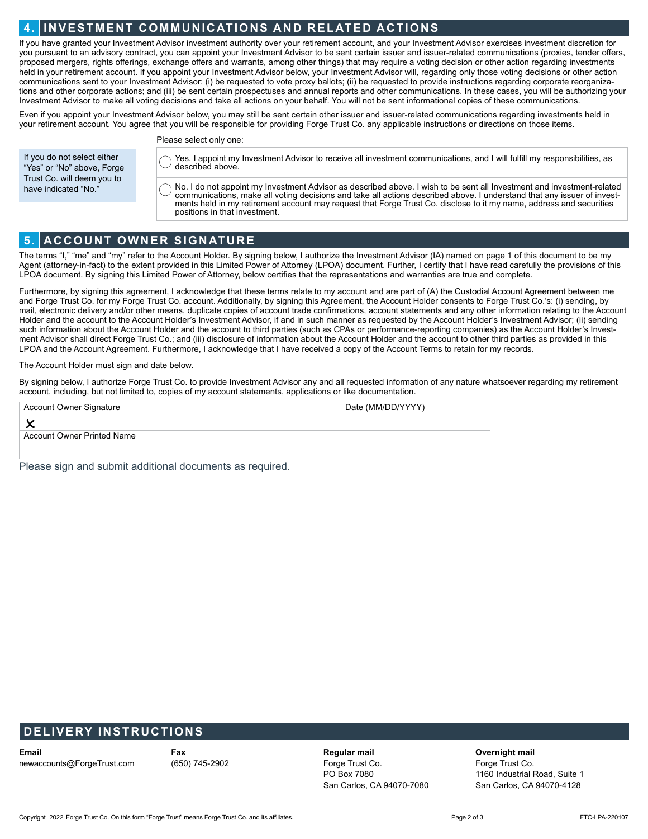#### **4. INVESTMENT COMMUNICATIONS AND RELATED ACTIONS**

If you have granted your Investment Advisor investment authority over your retirement account, and your Investment Advisor exercises investment discretion for you pursuant to an advisory contract, you can appoint your Investment Advisor to be sent certain issuer and issuer-related communications (proxies, tender offers, proposed mergers, rights offerings, exchange offers and warrants, among other things) that may require a voting decision or other action regarding investments held in your retirement account. If you appoint your Investment Advisor below, your Investment Advisor will, regarding only those voting decisions or other action communications sent to your Investment Advisor: (i) be requested to vote proxy ballots; (ii) be requested to provide instructions regarding corporate reorganizations and other corporate actions; and (iii) be sent certain prospectuses and annual reports and other communications. In these cases, you will be authorizing your Investment Advisor to make all voting decisions and take all actions on your behalf. You will not be sent informational copies of these communications.

Even if you appoint your Investment Advisor below, you may still be sent certain other issuer and issuer-related communications regarding investments held in your retirement account. You agree that you will be responsible for providing Forge Trust Co. any applicable instructions or directions on those items.

If you do not select either "Yes" or "No" above, Forge Trust Co. will deem you to have indicated "No."

Please select only one:

Yes. I appoint my Investment Advisor to receive all investment communications, and I will fulfill my responsibilities, as described above.

No. I do not appoint my Investment Advisor as described above. I wish to be sent all Investment and investment-related communications, make all voting decisions and take all actions described above. I understand that any issuer of investments held in my retirement account may request that Forge Trust Co. disclose to it my name, address and securities positions in that investment.

### **5. ACCOUNT OWNER SIGNATURE**

The terms "I," "me" and "my" refer to the Account Holder. By signing below, I authorize the Investment Advisor (IA) named on page 1 of this document to be my Agent (attorney-in-fact) to the extent provided in this Limited Power of Attorney (LPOA) document. Further, I certify that I have read carefully the provisions of this LPOA document. By signing this Limited Power of Attorney, below certifies that the representations and warranties are true and complete.

Furthermore, by signing this agreement, I acknowledge that these terms relate to my account and are part of (A) the Custodial Account Agreement between me and Forge Trust Co. for my Forge Trust Co. account. Additionally, by signing this Agreement, the Account Holder consents to Forge Trust Co.'s: (i) sending, by mail, electronic delivery and/or other means, duplicate copies of account trade confirmations, account statements and any other information relating to the Account Holder and the account to the Account Holder's Investment Advisor, if and in such manner as requested by the Account Holder's Investment Advisor; (ii) sending such information about the Account Holder and the account to third parties (such as CPAs or performance-reporting companies) as the Account Holder's Investment Advisor shall direct Forge Trust Co.; and (iii) disclosure of information about the Account Holder and the account to other third parties as provided in this LPOA and the Account Agreement. Furthermore, I acknowledge that I have received a copy of the Account Terms to retain for my records.

The Account Holder must sign and date below.

By signing below, I authorize Forge Trust Co. to provide Investment Advisor any and all requested information of any nature whatsoever regarding my retirement account, including, but not limited to, copies of my account statements, applications or like documentation.

| Account Owner Signature           | Date (MM/DD/YYYY) |  |  |  |  |  |  |
|-----------------------------------|-------------------|--|--|--|--|--|--|
|                                   |                   |  |  |  |  |  |  |
| <b>Account Owner Printed Name</b> |                   |  |  |  |  |  |  |
|                                   |                   |  |  |  |  |  |  |

Please sign and submit additional documents as required.

#### **DELIVERY INSTRUCTIONS**

**Email** newaccounts@ForgeTrust.com **Fax** (650) 745-2902

**Regular mail**  Forge Trust Co. PO Box 7080 San Carlos, CA 94070-7080

#### **Overnight mail**

Forge Trust Co. 1160 Industrial Road, Suite 1 San Carlos, CA 94070-4128